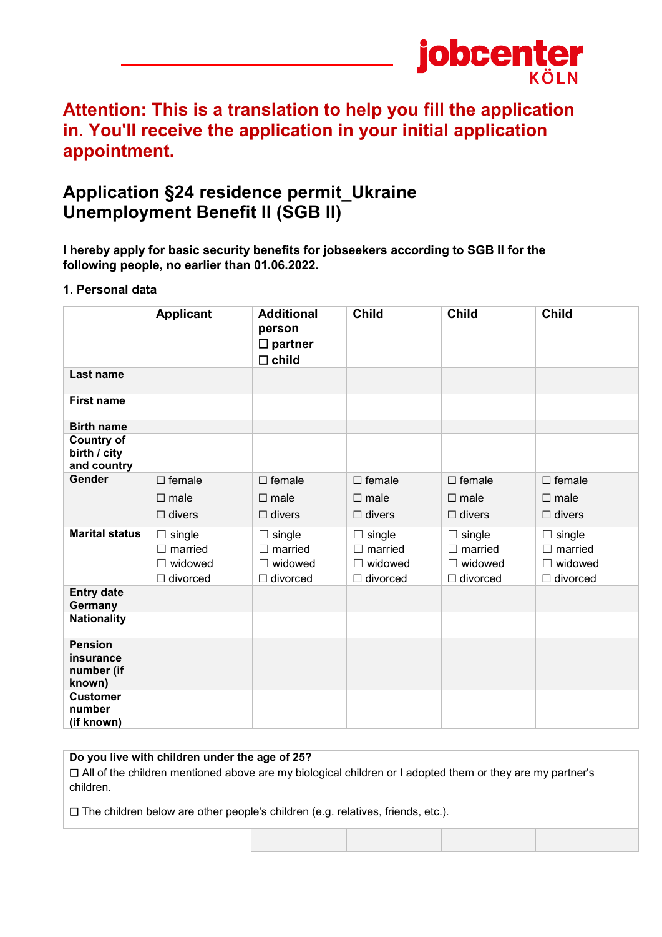

# **Attention: This is a translation to help you fill the application in. You'll receive the application in your initial application appointment.**

# **Application §24 residence permit\_Ukraine Unemployment Benefit II (SGB II)**

**I hereby apply for basic security benefits for jobseekers according to SGB II for the following people, no earlier than 01.06.2022.**

### **1. Personal data**

|                                                     | <b>Applicant</b>                                                     | <b>Additional</b><br>person<br>$\square$ partner<br>$\square$ child | <b>Child</b>                                                         | <b>Child</b>                                                         | <b>Child</b>                                                         |
|-----------------------------------------------------|----------------------------------------------------------------------|---------------------------------------------------------------------|----------------------------------------------------------------------|----------------------------------------------------------------------|----------------------------------------------------------------------|
| Last name                                           |                                                                      |                                                                     |                                                                      |                                                                      |                                                                      |
| <b>First name</b>                                   |                                                                      |                                                                     |                                                                      |                                                                      |                                                                      |
| <b>Birth name</b>                                   |                                                                      |                                                                     |                                                                      |                                                                      |                                                                      |
| <b>Country of</b><br>birth / city<br>and country    |                                                                      |                                                                     |                                                                      |                                                                      |                                                                      |
| Gender                                              | $\Box$ female<br>$\square$ male<br>$\Box$ divers                     | $\Box$ female<br>$\square$ male<br>$\Box$ divers                    | $\Box$ female<br>$\square$ male<br>$\Box$ divers                     | $\Box$ female<br>$\square$ male<br>$\Box$ divers                     | $\Box$ female<br>$\square$ male<br>$\Box$ divers                     |
| <b>Marital status</b>                               | $\Box$ single<br>$\Box$ married<br>$\Box$ widowed<br>$\Box$ divorced | single<br>$\Box$ married<br>$\Box$ widowed<br>$\Box$ divorced       | $\Box$ single<br>$\Box$ married<br>$\Box$ widowed<br>$\Box$ divorced | $\Box$ single<br>$\Box$ married<br>$\Box$ widowed<br>$\Box$ divorced | $\Box$ single<br>$\Box$ married<br>$\Box$ widowed<br>$\Box$ divorced |
| <b>Entry date</b><br>Germany                        |                                                                      |                                                                     |                                                                      |                                                                      |                                                                      |
| <b>Nationality</b>                                  |                                                                      |                                                                     |                                                                      |                                                                      |                                                                      |
| <b>Pension</b><br>insurance<br>number (if<br>known) |                                                                      |                                                                     |                                                                      |                                                                      |                                                                      |
| <b>Customer</b><br>number<br>(if known)             |                                                                      |                                                                     |                                                                      |                                                                      |                                                                      |

**Do you live with children under the age of 25?**

☐ All of the children mentioned above are my biological children or I adopted them or they are my partner's children.

☐ The children below are other people's children (e.g. relatives, friends, etc.).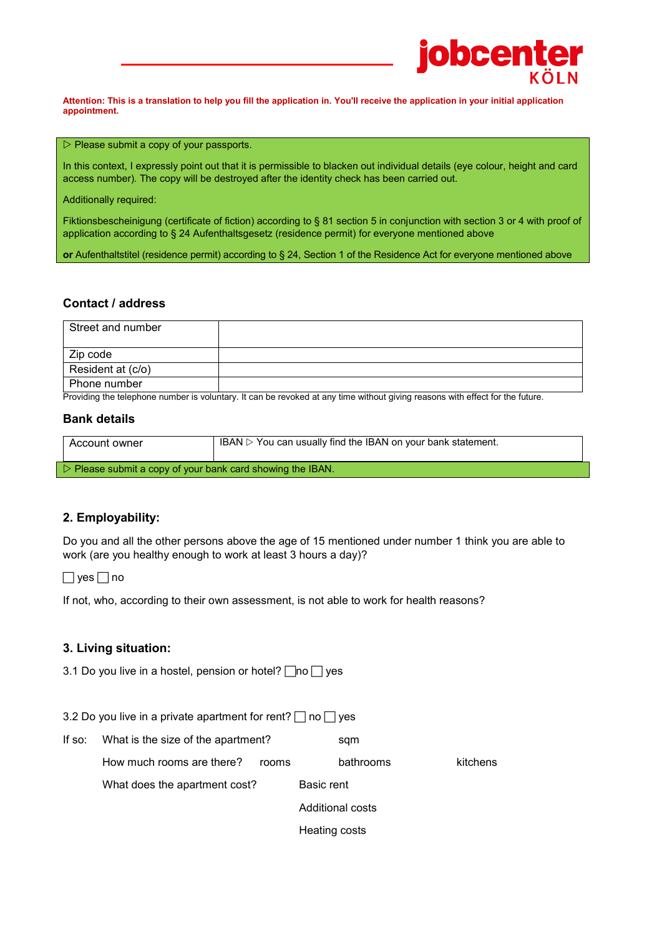

**Attention: This is a translation to help you fill the application in. You'll receive the application in your initial application appointment.**

#### $\triangleright$  Please submit a copy of your passports.

In this context, I expressly point out that it is permissible to blacken out individual details (eye colour, height and card access number). The copy will be destroyed after the identity check has been carried out.

Additionally required:

Fiktionsbescheinigung (certificate of fiction) according to § 81 section 5 in conjunction with section 3 or 4 with proof of application according to § 24 Aufenthaltsgesetz (residence permit) for everyone mentioned above

**or** Aufenthaltstitel (residence permit) according to § 24, Section 1 of the Residence Act for everyone mentioned above

#### **Contact / address**

| Street and number |  |
|-------------------|--|
| Zip code          |  |
| Resident at (c/o) |  |
| Phone number      |  |

Providing the telephone number is voluntary. It can be revoked at any time without giving reasons with effect for the future.

#### **Bank details**

| Account owner                                                             | IBAN $\triangleright$ You can usually find the IBAN on your bank statement. |  |  |
|---------------------------------------------------------------------------|-----------------------------------------------------------------------------|--|--|
| $\triangleright$ Please submit a copy of your bank card showing the IBAN. |                                                                             |  |  |

#### **2. Employability:**

Do you and all the other persons above the age of 15 mentioned under number 1 think you are able to work (are you healthy enough to work at least 3 hours a day)?

 $\Box$  yes  $\Box$  no

If not, who, according to their own assessment, is not able to work for health reasons?

#### **3. Living situation:**

3.1 Do you live in a hostel, pension or hotel?  $\Box$  no  $\Box$  yes

|  | 3.2 Do you live in a private apartment for rent? □ no □ yes |  |  |
|--|-------------------------------------------------------------|--|--|
|  |                                                             |  |  |

| If so: What is the size of the apartment? |       | sqm           |                  |          |
|-------------------------------------------|-------|---------------|------------------|----------|
| How much rooms are there?                 | rooms |               | bathrooms        | kitchens |
| What does the apartment cost?             |       | Basic rent    |                  |          |
|                                           |       |               | Additional costs |          |
|                                           |       | Heating costs |                  |          |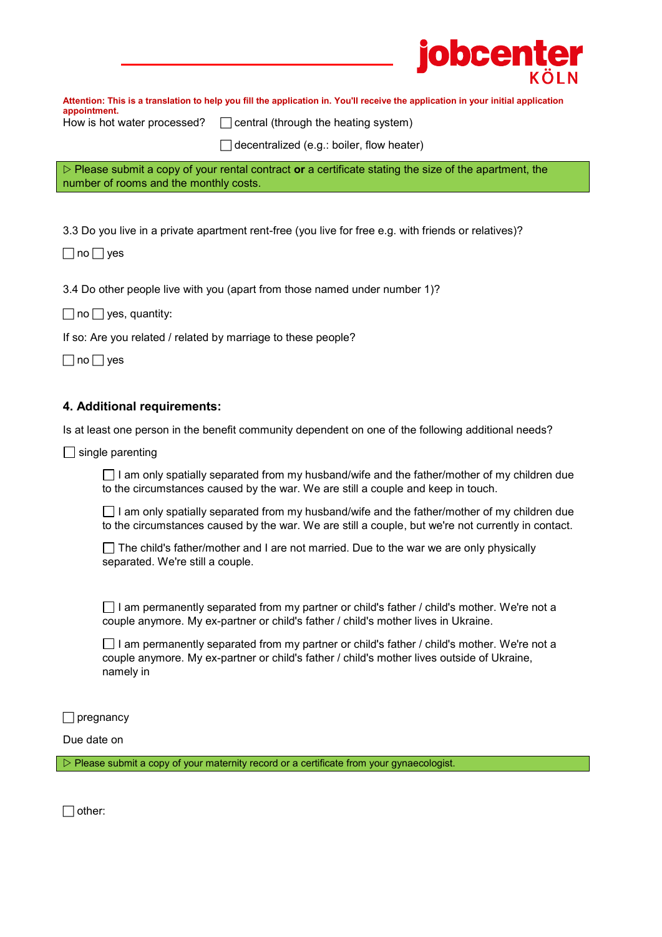**Attention: This is a translation to help you fill the application in. You'll receive the application in your initial application** 

**jobcent** 

**appointment.**

How is hot water processed?  $\Box$  central (through the heating system)

 $\Box$  decentralized (e.g.: boiler, flow heater)

 Please submit a copy of your rental contract **or** a certificate stating the size of the apartment, the number of rooms and the monthly costs.

3.3 Do you live in a private apartment rent-free (you live for free e.g. with friends or relatives)?

 $\Box$  no  $\Box$  yes

3.4 Do other people live with you (apart from those named under number 1)?

 $\Box$  no  $\Box$  yes, quantity:

If so: Are you related / related by marriage to these people?

 $\Box$  no  $\Box$  yes

### **4. Additional requirements:**

Is at least one person in the benefit community dependent on one of the following additional needs?

 $\Box$  single parenting

 $\Box$  I am only spatially separated from my husband/wife and the father/mother of my children due to the circumstances caused by the war. We are still a couple and keep in touch.

 $\Box$  I am only spatially separated from my husband/wife and the father/mother of my children due to the circumstances caused by the war. We are still a couple, but we're not currently in contact.

 $\Box$  The child's father/mother and I are not married. Due to the war we are only physically separated. We're still a couple.

 $\Box$  I am permanently separated from my partner or child's father / child's mother. We're not a couple anymore. My ex-partner or child's father / child's mother lives in Ukraine.

 $\Box$  I am permanently separated from my partner or child's father / child's mother. We're not a couple anymore. My ex-partner or child's father / child's mother lives outside of Ukraine, namely in

 $\Box$  pregnancy

Due date on

 $\triangleright$  Please submit a copy of your maternity record or a certificate from your gynaecologist.

 $\Box$  other: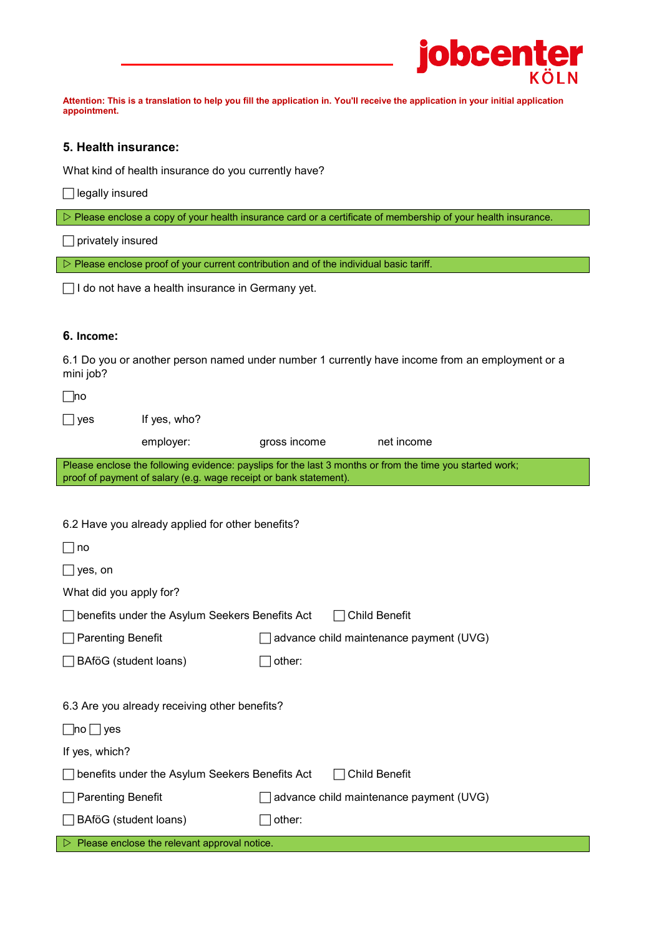|                          |                                                                   | <b>jobcenter</b>                                                                                                                 |  |  |
|--------------------------|-------------------------------------------------------------------|----------------------------------------------------------------------------------------------------------------------------------|--|--|
| appointment.             |                                                                   | Attention: This is a translation to help you fill the application in. You'll receive the application in your initial application |  |  |
| 5. Health insurance:     |                                                                   |                                                                                                                                  |  |  |
|                          | What kind of health insurance do you currently have?              |                                                                                                                                  |  |  |
| legally insured          |                                                                   |                                                                                                                                  |  |  |
|                          |                                                                   | $\triangleright$ Please enclose a copy of your health insurance card or a certificate of membership of your health insurance.    |  |  |
| privately insured        |                                                                   |                                                                                                                                  |  |  |
|                          |                                                                   | $\triangleright$ Please enclose proof of your current contribution and of the individual basic tariff.                           |  |  |
|                          | □ I do not have a health insurance in Germany yet.                |                                                                                                                                  |  |  |
|                          |                                                                   |                                                                                                                                  |  |  |
| 6. Income:               |                                                                   |                                                                                                                                  |  |  |
| mini job?                |                                                                   | 6.1 Do you or another person named under number 1 currently have income from an employment or a                                  |  |  |
| ⊟no                      |                                                                   |                                                                                                                                  |  |  |
| ∐ yes                    | If yes, who?                                                      |                                                                                                                                  |  |  |
|                          | employer:                                                         | gross income<br>net income                                                                                                       |  |  |
|                          | proof of payment of salary (e.g. wage receipt or bank statement). | Please enclose the following evidence: payslips for the last 3 months or from the time you started work;                         |  |  |
|                          |                                                                   |                                                                                                                                  |  |  |
|                          | 6.2 Have you already applied for other benefits?                  |                                                                                                                                  |  |  |
| no                       |                                                                   |                                                                                                                                  |  |  |
| yes, on                  |                                                                   |                                                                                                                                  |  |  |
| What did you apply for?  |                                                                   |                                                                                                                                  |  |  |
|                          | benefits under the Asylum Seekers Benefits Act                    | <b>Child Benefit</b>                                                                                                             |  |  |
| <b>Parenting Benefit</b> |                                                                   | advance child maintenance payment (UVG)                                                                                          |  |  |
|                          | BAföG (student loans)                                             | other:                                                                                                                           |  |  |
|                          |                                                                   |                                                                                                                                  |  |  |
|                          | 6.3 Are you already receiving other benefits?                     |                                                                                                                                  |  |  |
|                          |                                                                   |                                                                                                                                  |  |  |
| If yes, which?           |                                                                   |                                                                                                                                  |  |  |
|                          | benefits under the Asylum Seekers Benefits Act                    | <b>Child Benefit</b>                                                                                                             |  |  |
| <b>Parenting Benefit</b> |                                                                   | advance child maintenance payment (UVG)                                                                                          |  |  |
|                          | BAföG (student loans)<br>other:                                   |                                                                                                                                  |  |  |

 $\triangleright$  Please enclose the relevant approval notice.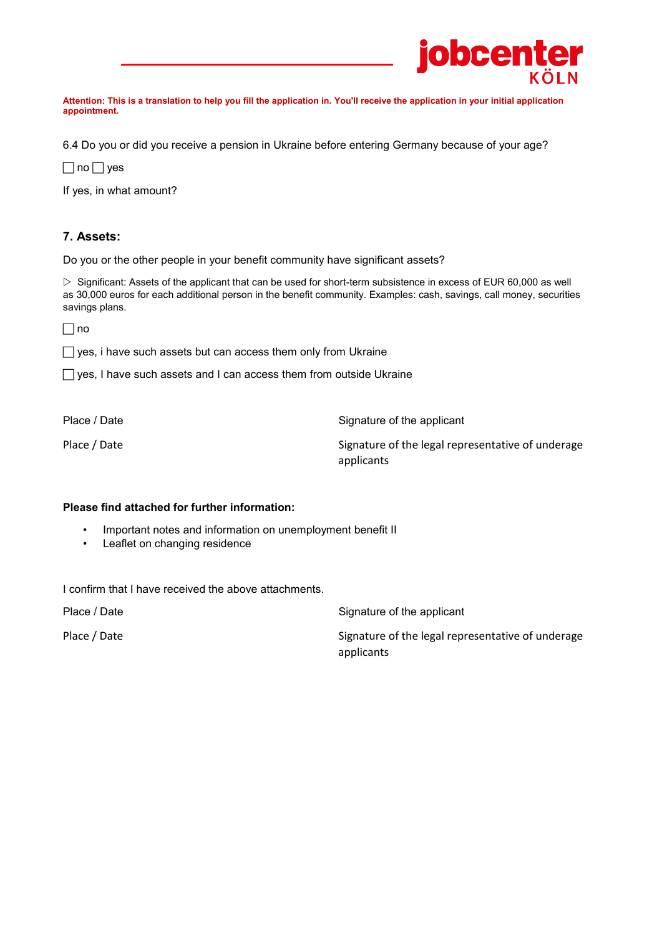

**Attention: This is a translation to help you fill the application in. You'll receive the application in your initial application appointment.**

6.4 Do you or did you receive a pension in Ukraine before entering Germany because of your age?

 $\Box$  no  $\Box$  yes

If yes, in what amount?

# **7. Assets:**

Do you or the other people in your benefit community have significant assets?

 $\triangleright$  Significant: Assets of the applicant that can be used for short-term subsistence in excess of EUR 60,000 as well as 30,000 euros for each additional person in the benefit community. Examples: cash, savings, call money, securities savings plans.

 $\Box$ no

 $\Box$  yes, i have such assets but can access them only from Ukraine

 $\Box$  yes, I have such assets and I can access them from outside Ukraine

| Place / Date |  |
|--------------|--|
|--------------|--|

Signature of the applicant

Place / Date National Representative of the legal representative of underage applicants

## **Please find attached for further information:**

- Important notes and information on unemployment benefit II
- Leaflet on changing residence

I confirm that I have received the above attachments.

Place / Date **Signature of the applicant** 

Place / Date  $\blacksquare$  Place / Date Signature of the legal representative of underage

applicants